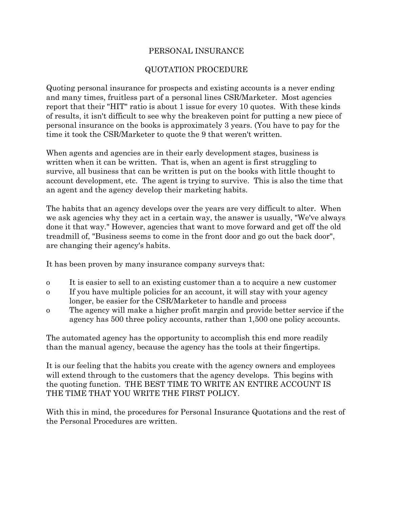### PERSONAL INSURANCE

### QUOTATION PROCEDURE

Quoting personal insurance for prospects and existing accounts is a never ending and many times, fruitless part of a personal lines CSR/Marketer. Most agencies report that their "HIT" ratio is about 1 issue for every 10 quotes. With these kinds of results, it isn't difficult to see why the breakeven point for putting a new piece of personal insurance on the books is approximately 3 years. (You have to pay for the time it took the CSR/Marketer to quote the 9 that weren't written.

When agents and agencies are in their early development stages, business is written when it can be written. That is, when an agent is first struggling to survive, all business that can be written is put on the books with little thought to account development, etc. The agent is trying to survive. This is also the time that an agent and the agency develop their marketing habits.

The habits that an agency develops over the years are very difficult to alter. When we ask agencies why they act in a certain way, the answer is usually, "We've always done it that way." However, agencies that want to move forward and get off the old treadmill of, "Business seems to come in the front door and go out the back door", are changing their agency's habits.

It has been proven by many insurance company surveys that:

- o It is easier to sell to an existing customer than a to acquire a new customer
- o If you have multiple policies for an account, it will stay with your agency longer, be easier for the CSR/Marketer to handle and process
- o The agency will make a higher profit margin and provide better service if the agency has 500 three policy accounts, rather than 1,500 one policy accounts.

The automated agency has the opportunity to accomplish this end more readily than the manual agency, because the agency has the tools at their fingertips.

It is our feeling that the habits you create with the agency owners and employees will extend through to the customers that the agency develops. This begins with the quoting function. THE BEST TIME TO WRITE AN ENTIRE ACCOUNT IS THE TIME THAT YOU WRITE THE FIRST POLICY.

With this in mind, the procedures for Personal Insurance Quotations and the rest of the Personal Procedures are written.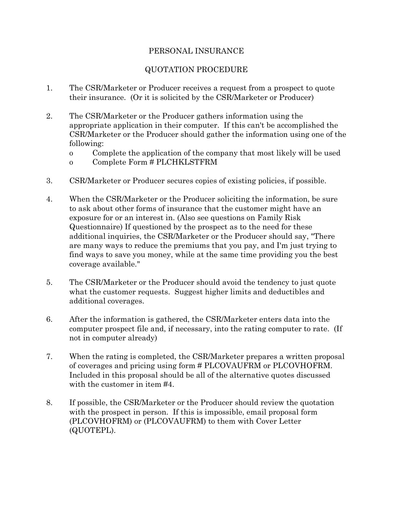## PERSONAL INSURANCE

# QUOTATION PROCEDURE

- 1. The CSR/Marketer or Producer receives a request from a prospect to quote their insurance. (Or it is solicited by the CSR/Marketer or Producer)
- 2. The CSR/Marketer or the Producer gathers information using the appropriate application in their computer. If this can't be accomplished the CSR/Marketer or the Producer should gather the information using one of the following:
	- o Complete the application of the company that most likely will be used
	- o Complete Form # PLCHKLSTFRM
- 3. CSR/Marketer or Producer secures copies of existing policies, if possible.
- 4. When the CSR/Marketer or the Producer soliciting the information, be sure to ask about other forms of insurance that the customer might have an exposure for or an interest in. (Also see questions on Family Risk Questionnaire) If questioned by the prospect as to the need for these additional inquiries, the CSR/Marketer or the Producer should say, "There are many ways to reduce the premiums that you pay, and I'm just trying to find ways to save you money, while at the same time providing you the best coverage available."
- 5. The CSR/Marketer or the Producer should avoid the tendency to just quote what the customer requests. Suggest higher limits and deductibles and additional coverages.
- 6. After the information is gathered, the CSR/Marketer enters data into the computer prospect file and, if necessary, into the rating computer to rate. (If not in computer already)
- 7. When the rating is completed, the CSR/Marketer prepares a written proposal of coverages and pricing using form # PLCOVAUFRM or PLCOVHOFRM. Included in this proposal should be all of the alternative quotes discussed with the customer in item #4.
- 8. If possible, the CSR/Marketer or the Producer should review the quotation with the prospect in person. If this is impossible, email proposal form (PLCOVHOFRM) or (PLCOVAUFRM) to them with Cover Letter (QUOTEPL).